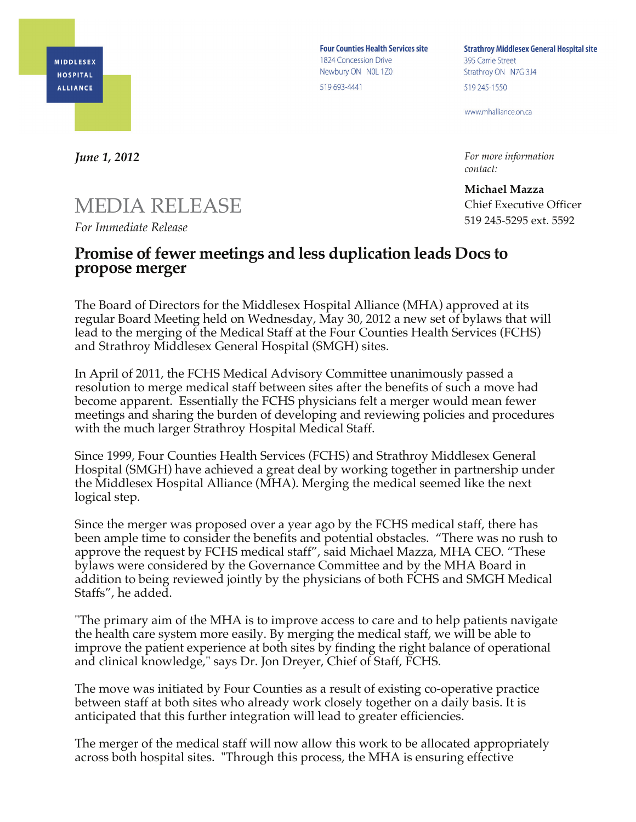

**Four Counties Health Services site** 1824 Concession Drive Newbury ON NOL 1Z0 519 693-4441

**Strathroy Middlesex General Hospital site** 395 Carrie Street Strathroy ON N7G 3J4 519 245-1550

www.mhalliance.on.ca

*For more information contact:*

**Michael Mazza** Chief Executive Officer 519 245-5295 ext. 5592

*June 1, 2012*

## MEDIA RELEASE

*For Immediate Release*

## **Promise of fewer meetings and less duplication leads Docs to propose merger**

The Board of Directors for the Middlesex Hospital Alliance (MHA) approved at its regular Board Meeting held on Wednesday, May 30, 2012 a new set of bylaws that will lead to the merging of the Medical Staff at the Four Counties Health Services (FCHS) and Strathroy Middlesex General Hospital (SMGH) sites.

In April of 2011, the FCHS Medical Advisory Committee unanimously passed a resolution to merge medical staff between sites after the benefits of such a move had become apparent. Essentially the FCHS physicians felt a merger would mean fewer meetings and sharing the burden of developing and reviewing policies and procedures with the much larger Strathroy Hospital Medical Staff.

Since 1999, Four Counties Health Services (FCHS) and Strathroy Middlesex General Hospital (SMGH) have achieved a great deal by working together in partnership under the Middlesex Hospital Alliance (MHA). Merging the medical seemed like the next logical step.

Since the merger was proposed over a year ago by the FCHS medical staff, there has been ample time to consider the benefits and potential obstacles. "There was no rush to approve the request by FCHS medical staff", said Michael Mazza, MHA CEO. "These bylaws were considered by the Governance Committee and by the MHA Board in addition to being reviewed jointly by the physicians of both FCHS and SMGH Medical Staffs", he added.

"The primary aim of the MHA is to improve access to care and to help patients navigate the health care system more easily. By merging the medical staff, we will be able to improve the patient experience at both sites by finding the right balance of operational and clinical knowledge," says Dr. Jon Dreyer, Chief of Staff, FCHS.

The move was initiated by Four Counties as a result of existing co-operative practice between staff at both sites who already work closely together on a daily basis. It is anticipated that this further integration will lead to greater efficiencies.

The merger of the medical staff will now allow this work to be allocated appropriately across both hospital sites. "Through this process, the MHA is ensuring effective